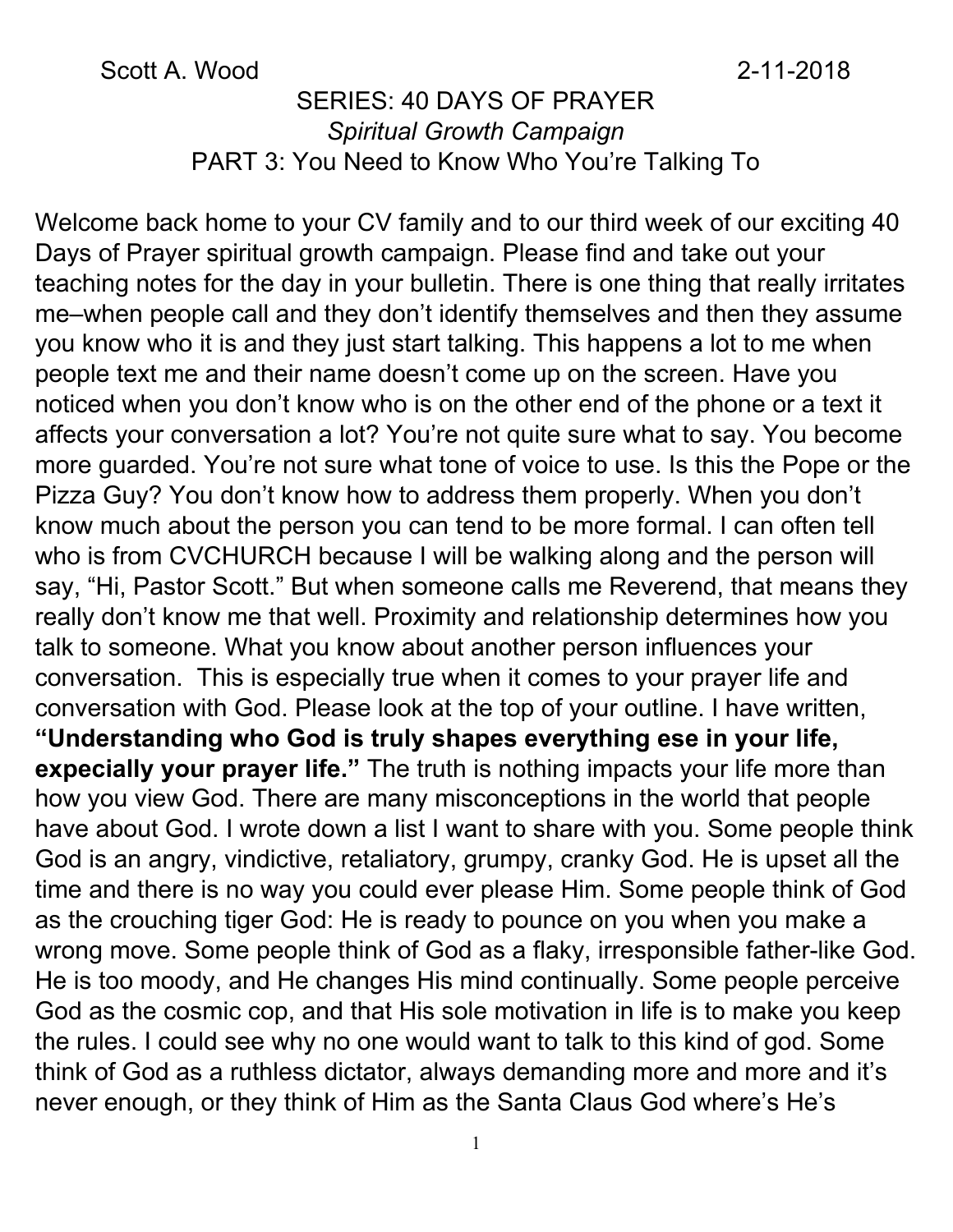#### Scott A. Wood 2-11-2018

#### SERIES: 40 DAYS OF PRAYER *Spiritual Growth Campaign* PART 3: You Need to Know Who You're Talking To

Welcome back home to your CV family and to our third week of our exciting 40 Days of Prayer spiritual growth campaign. Please find and take out your teaching notes for the day in your bulletin. There is one thing that really irritates me–when people call and they don't identify themselves and then they assume you know who it is and they just start talking. This happens a lot to me when people text me and their name doesn't come up on the screen. Have you noticed when you don't know who is on the other end of the phone or a text it affects your conversation a lot? You're not quite sure what to say. You become more guarded. You're not sure what tone of voice to use. Is this the Pope or the Pizza Guy? You don't know how to address them properly. When you don't know much about the person you can tend to be more formal. I can often tell who is from CVCHURCH because I will be walking along and the person will say, "Hi, Pastor Scott." But when someone calls me Reverend, that means they really don't know me that well. Proximity and relationship determines how you talk to someone. What you know about another person influences your conversation. This is especially true when it comes to your prayer life and conversation with God. Please look at the top of your outline. I have written, **"Understanding who God is truly shapes everything ese in your life, expecially your prayer life."** The truth is nothing impacts your life more than how you view God. There are many misconceptions in the world that people have about God. I wrote down a list I want to share with you. Some people think God is an angry, vindictive, retaliatory, grumpy, cranky God. He is upset all the time and there is no way you could ever please Him. Some people think of God as the crouching tiger God: He is ready to pounce on you when you make a wrong move. Some people think of God as a flaky, irresponsible father-like God. He is too moody, and He changes His mind continually. Some people perceive God as the cosmic cop, and that His sole motivation in life is to make you keep the rules. I could see why no one would want to talk to this kind of god. Some think of God as a ruthless dictator, always demanding more and more and it's never enough, or they think of Him as the Santa Claus God where's He's

1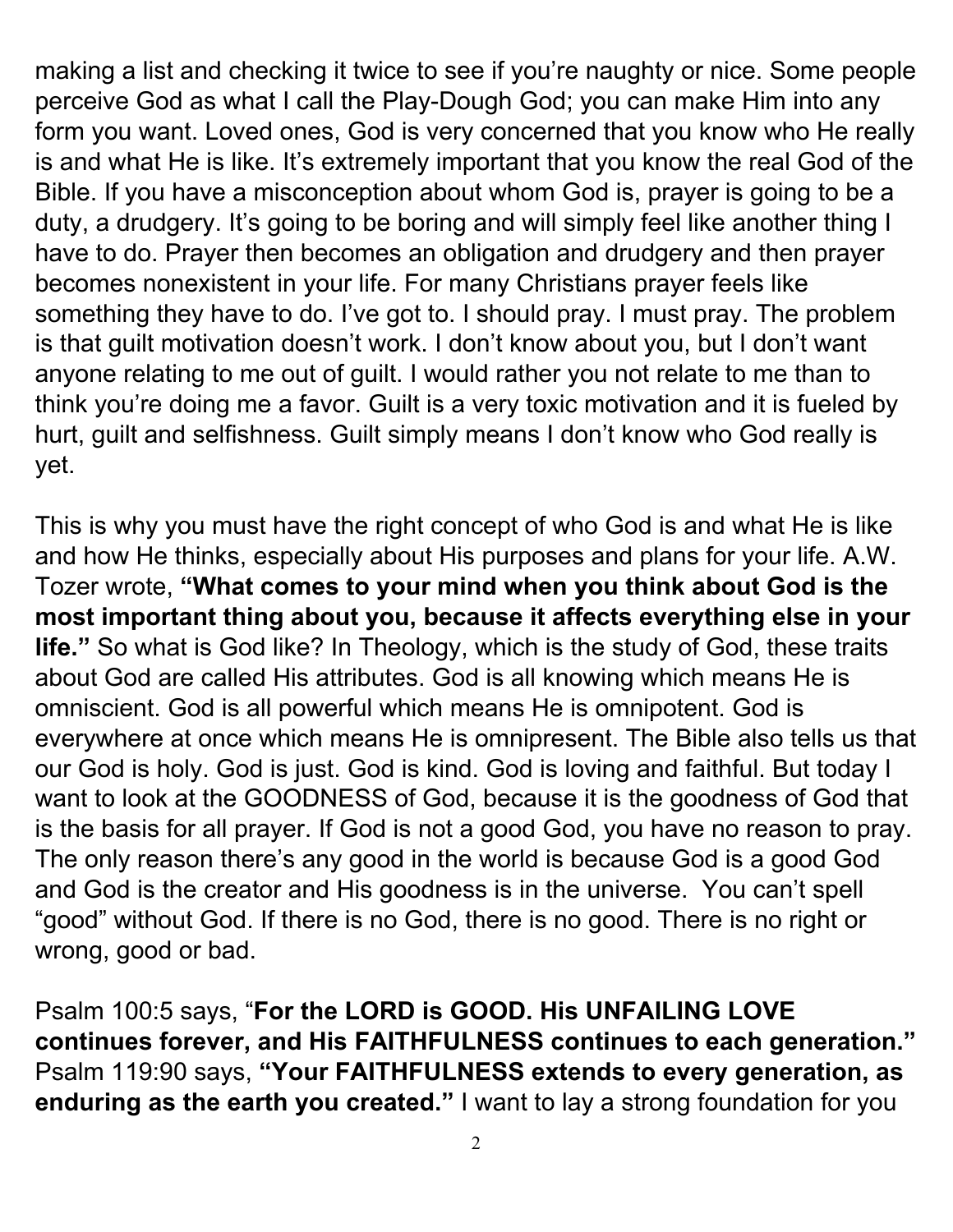making a list and checking it twice to see if you're naughty or nice. Some people perceive God as what I call the Play-Dough God; you can make Him into any form you want. Loved ones, God is very concerned that you know who He really is and what He is like. It's extremely important that you know the real God of the Bible. If you have a misconception about whom God is, prayer is going to be a duty, a drudgery. It's going to be boring and will simply feel like another thing I have to do. Prayer then becomes an obligation and drudgery and then prayer becomes nonexistent in your life. For many Christians prayer feels like something they have to do. I've got to. I should pray. I must pray. The problem is that guilt motivation doesn't work. I don't know about you, but I don't want anyone relating to me out of guilt. I would rather you not relate to me than to think you're doing me a favor. Guilt is a very toxic motivation and it is fueled by hurt, guilt and selfishness. Guilt simply means I don't know who God really is yet.

This is why you must have the right concept of who God is and what He is like and how He thinks, especially about His purposes and plans for your life. A.W. Tozer wrote, **"What comes to your mind when you think about God is the most important thing about you, because it affects everything else in your life."** So what is God like? In Theology, which is the study of God, these traits about God are called His attributes. God is all knowing which means He is omniscient. God is all powerful which means He is omnipotent. God is everywhere at once which means He is omnipresent. The Bible also tells us that our God is holy. God is just. God is kind. God is loving and faithful. But today I want to look at the GOODNESS of God, because it is the goodness of God that is the basis for all prayer. If God is not a good God, you have no reason to pray. The only reason there's any good in the world is because God is a good God and God is the creator and His goodness is in the universe. You can't spell "good" without God. If there is no God, there is no good. There is no right or wrong, good or bad.

Psalm 100:5 says, "**For the LORD is GOOD. His UNFAILING LOVE continues forever, and His FAITHFULNESS continues to each generation."** Psalm 119:90 says, **"Your FAITHFULNESS extends to every generation, as enduring as the earth you created."** I want to lay a strong foundation for you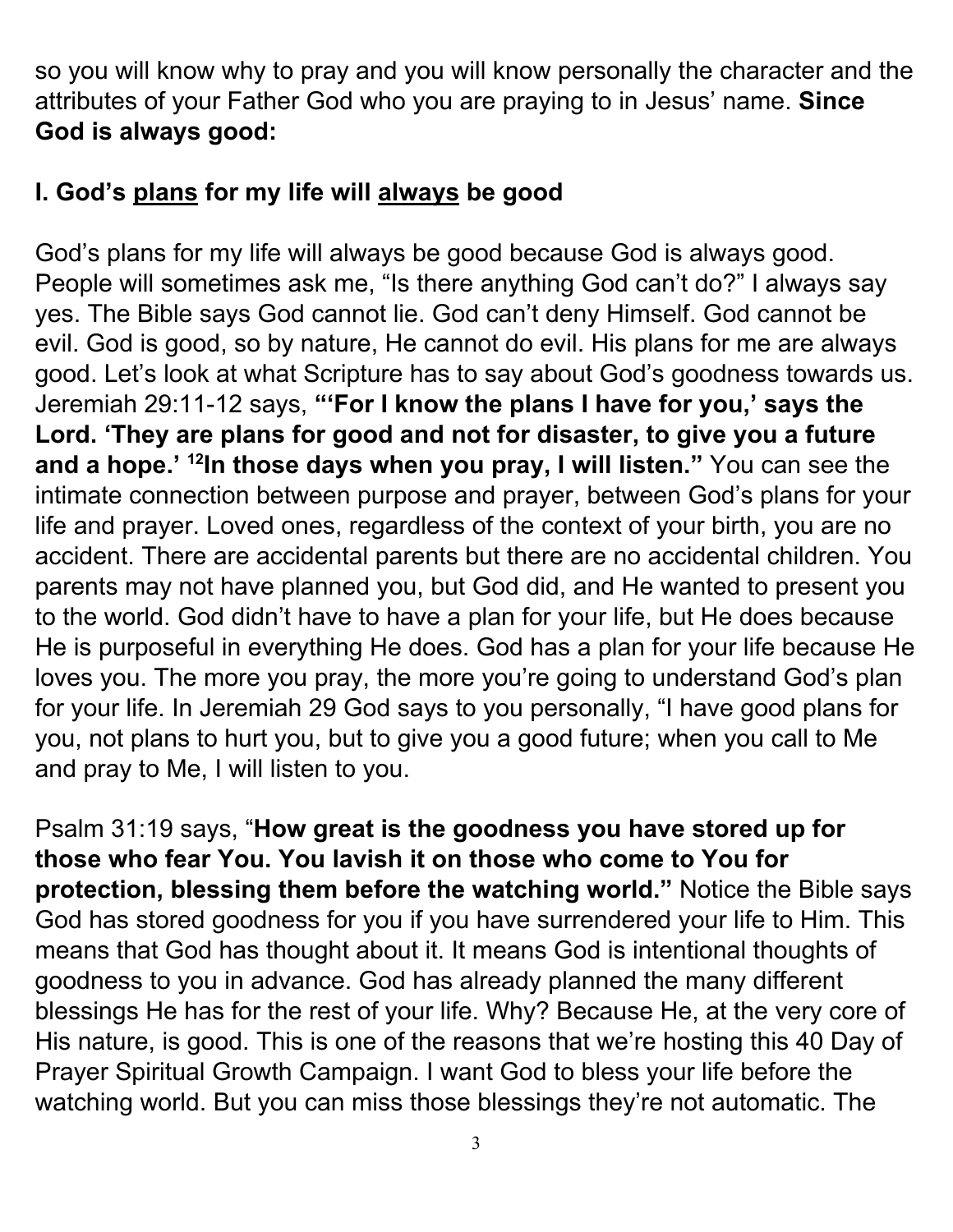so you will know why to pray and you will know personally the character and the attributes of your Father God who you are praying to in Jesus' name. **Since God is always good:**

#### **I. God's plans for my life will always be good**

God's plans for my life will always be good because God is always good. People will sometimes ask me, "Is there anything God can't do?" I always say yes. The Bible says God cannot lie. God can't deny Himself. God cannot be evil. God is good, so by nature, He cannot do evil. His plans for me are always good. Let's look at what Scripture has to say about God's goodness towards us. Jeremiah 29:11-12 says, **"'For I know the plans I have for you, ' says the Lord. 'They are plans for good and not for disaster, to give you a future and a hope.' 12 In those days when you pray, I will listen."** You can see the intimate connection between purpose and prayer, between God's plans for your life and prayer. Loved ones, regardless of the context of your birth, you are no accident. There are accidental parents but there are no accidental children. You parents may not have planned you, but God did, and He wanted to present you to the world. God didn't have to have a plan for your life, but He does because He is purposeful in everything He does. God has a plan for your life because He loves you. The more you pray, the more you're going to understand God's plan for your life. In Jeremiah 29 God says to you personally, "I have good plans for you, not plans to hurt you, but to give you a good future; when you call to Me and pray to Me, I will listen to you.

Psalm 31:19 says, "**How great is the goodness you have stored up for those who fear You. You lavish it on those who come to You for protection, blessing them before the watching world."** Notice the Bible says God has stored goodness for you if you have surrendered your life to Him. This means that God has thought about it. It means God is intentional thoughts of goodness to you in advance. God has already planned the many different blessings He has for the rest of your life. Why? Because He, at the very core of His nature, is good. This is one of the reasons that we're hosting this 40 Day of Prayer Spiritual Growth Campaign. I want God to bless your life before the watching world. But you can miss those blessings they're not automatic. The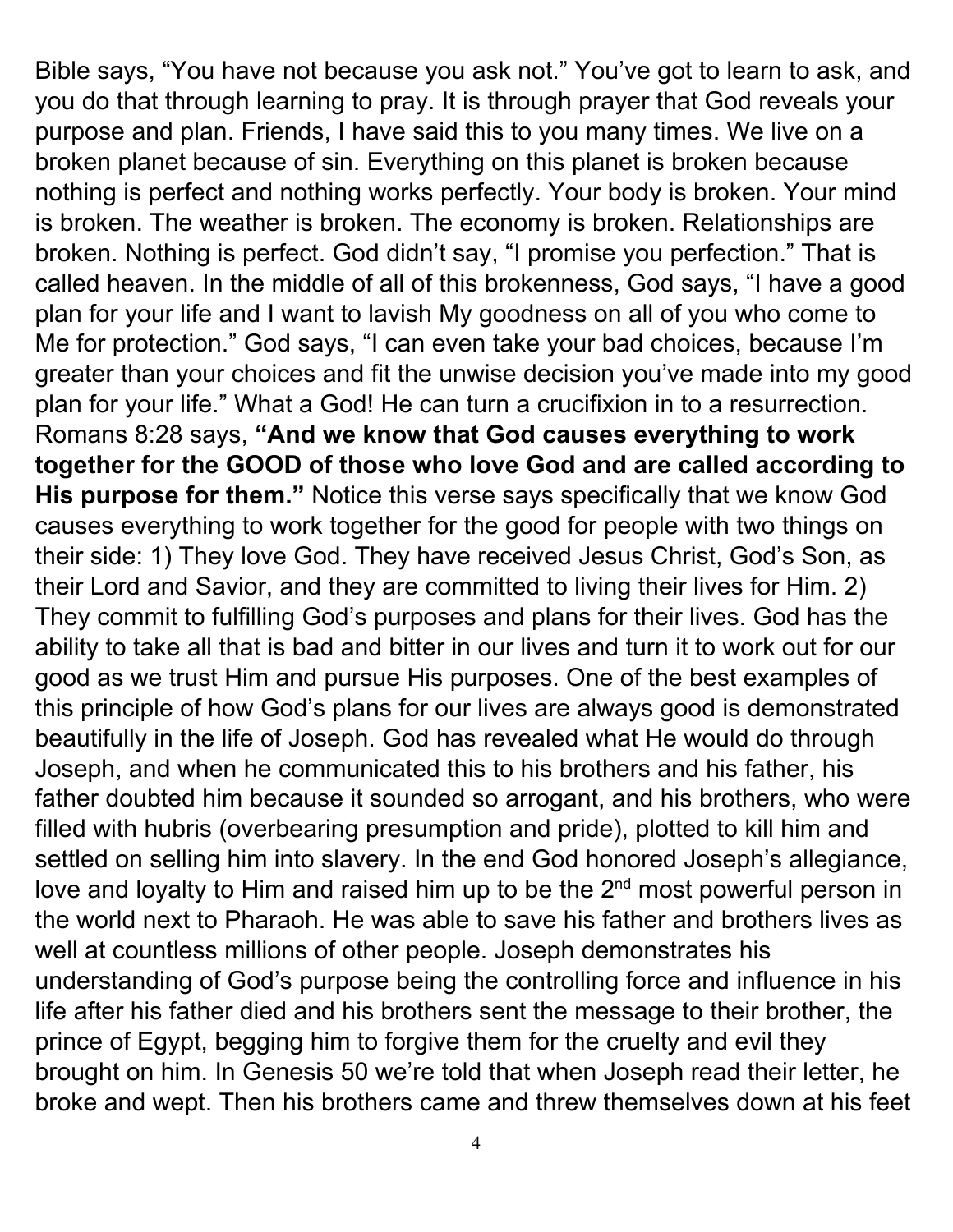Bible says, "You have not because you ask not." You've got to learn to ask, and you do that through learning to pray. It is through prayer that God reveals your purpose and plan. Friends, I have said this to you many times. We live on a broken planet because of sin. Everything on this planet is broken because nothing is perfect and nothing works perfectly. Your body is broken. Your mind is broken. The weather is broken. The economy is broken. Relationships are broken. Nothing is perfect. God didn't say, "I promise you perfection." That is called heaven. In the middle of all of this brokenness, God says, "I have a good plan for your life and I want to lavish My goodness on all of you who come to Me for protection." God says, "I can even take your bad choices, because I'm greater than your choices and fit the unwise decision you've made into my good plan for your life." What a God! He can turn a crucifixion in to a resurrection. Romans 8:28 says, **"And we know that God causes everything to work together for the GOOD of those who love God and are called according to His purpose for them."** Notice this verse says specifically that we know God causes everything to work together for the good for people with two things on their side: 1) They love God. They have received Jesus Christ, God's Son, as their Lord and Savior, and they are committed to living their lives for Him. 2) They commit to fulfilling God's purposes and plans for their lives. God has the ability to take all that is bad and bitter in our lives and turn it to work out for our good as we trust Him and pursue His purposes. One of the best examples of this principle of how God's plans for our lives are always good is demonstrated beautifully in the life of Joseph. God has revealed what He would do through Joseph, and when he communicated this to his brothers and his father, his father doubted him because it sounded so arrogant, and his brothers, who were filled with hubris (overbearing presumption and pride), plotted to kill him and settled on selling him into slavery. In the end God honored Joseph's allegiance, love and loyalty to Him and raised him up to be the  $2<sup>nd</sup>$  most powerful person in the world next to Pharaoh. He was able to save his father and brothers lives as well at countless millions of other people. Joseph demonstrates his understanding of God's purpose being the controlling force and influence in his life after his father died and his brothers sent the message to their brother, the prince of Egypt, begging him to forgive them for the cruelty and evil they brought on him. In Genesis 50 we're told that when Joseph read their letter, he broke and wept. Then his brothers came and threw themselves down at his feet

4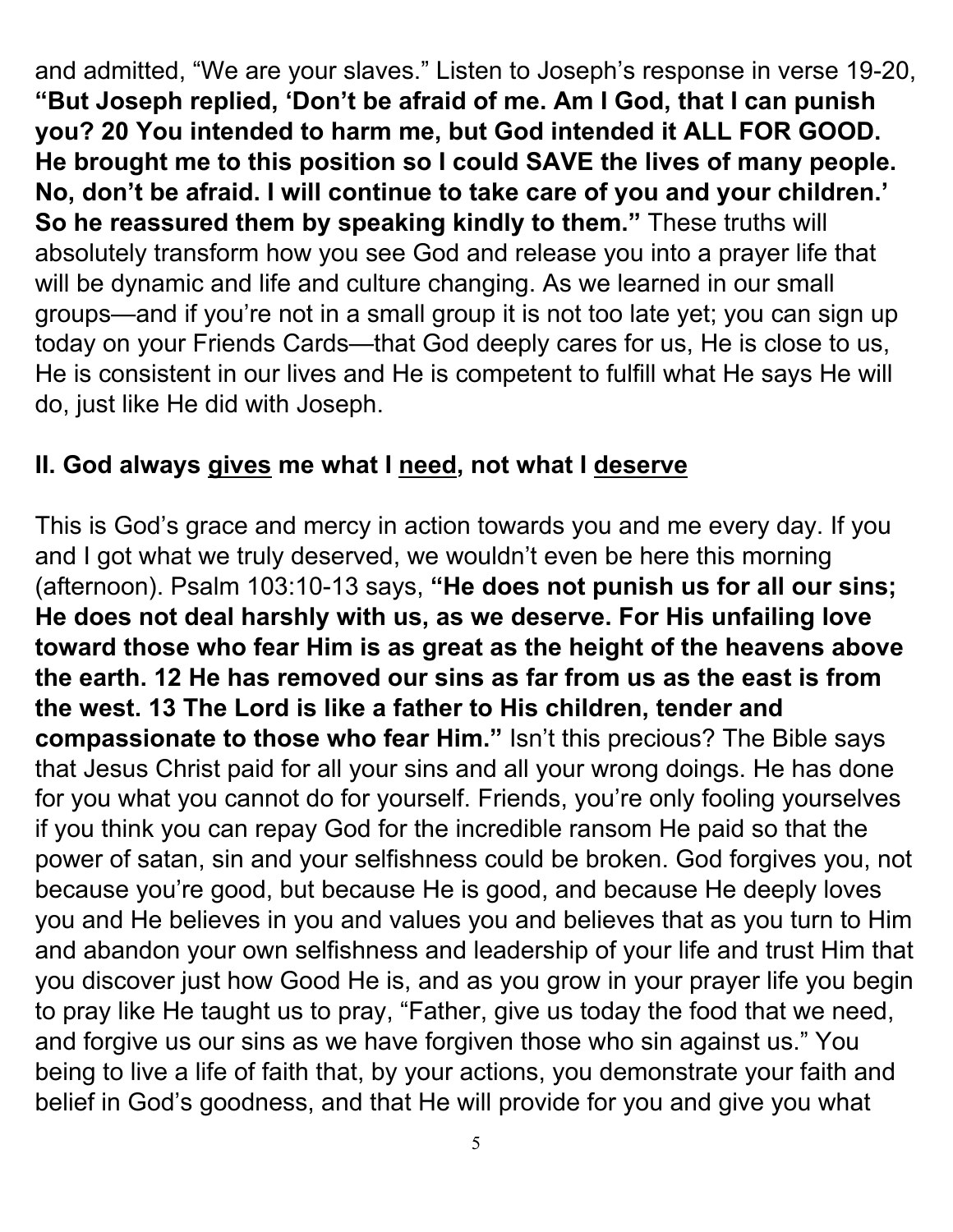and admitted, "We are your slaves." Listen to Joseph's response in verse 19-20, **"But Joseph replied, 'Don't be afraid of me. Am I God, that I can punish you? 20 You intended to harm me, but God intended it ALL FOR GOOD. He brought me to this position so I could SAVE the lives of many people. No, don't be afraid. I will continue to take care of you and your children.' So he reassured them by speaking kindly to them."** These truths will absolutely transform how you see God and release you into a prayer life that will be dynamic and life and culture changing. As we learned in our small groups—and if you're not in a small group it is not too late yet; you can sign up today on your Friends Cards—that God deeply cares for us, He is close to us, He is consistent in our lives and He is competent to fulfill what He says He will do, just like He did with Joseph.

# **II. God always gives me what I need, not what I deserve**

This is God's grace and mercy in action towards you and me every day. If you and I got what we truly deserved, we wouldn't even be here this morning (afternoon). Psalm 103:10-13 says, **"He does not punish us for all our sins; He does not deal harshly with us, as we deserve. For His unfailing love toward those who fear Him is as great as the height of the heavens above the earth. 12 He has removed our sins as far from us as the east is from the west. 13 The Lord is like a father to His children, tender and compassionate to those who fear Him."** Isn't this precious? The Bible says that Jesus Christ paid for all your sins and all your wrong doings. He has done for you what you cannot do for yourself. Friends, you're only fooling yourselves if you think you can repay God for the incredible ransom He paid so that the power of satan, sin and your selfishness could be broken. God forgives you, not because you're good, but because He is good, and because He deeply loves you and He believes in you and values you and believes that as you turn to Him and abandon your own selfishness and leadership of your life and trust Him that you discover just how Good He is, and as you grow in your prayer life you begin to pray like He taught us to pray, "Father, give us today the food that we need, and forgive us our sins as we have forgiven those who sin against us." You being to live a life of faith that, by your actions, you demonstrate your faith and belief in God's goodness, and that He will provide for you and give you what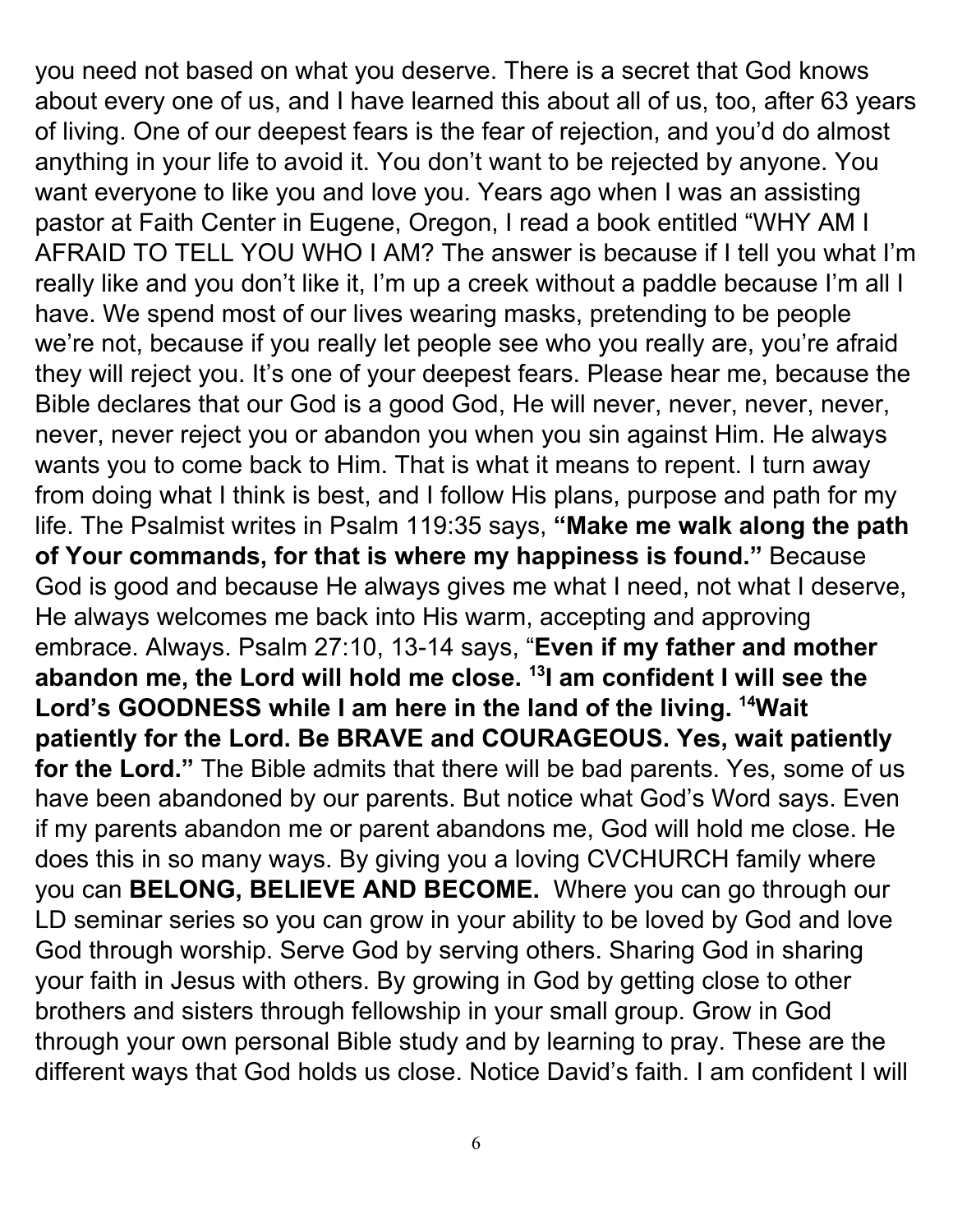you need not based on what you deserve. There is a secret that God knows about every one of us, and I have learned this about all of us, too, after 63 years of living. One of our deepest fears is the fear of rejection, and you'd do almost anything in your life to avoid it. You don't want to be rejected by anyone. You want everyone to like you and love you. Years ago when I was an assisting pastor at Faith Center in Eugene, Oregon, I read a book entitled "WHY AM I AFRAID TO TELL YOU WHO I AM? The answer is because if I tell you what I'm really like and you don't like it, I'm up a creek without a paddle because I'm all I have. We spend most of our lives wearing masks, pretending to be people we're not, because if you really let people see who you really are, you're afraid they will reject you. It's one of your deepest fears. Please hear me, because the Bible declares that our God is a good God, He will never, never, never, never, never, never reject you or abandon you when you sin against Him. He always wants you to come back to Him. That is what it means to repent. I turn away from doing what I think is best, and I follow His plans, purpose and path for my life. The Psalmist writes in Psalm 119:35 says, **"Make me walk along the path of Your commands, for that is where my happiness is found."** Because God is good and because He always gives me what I need, not what I deserve, He always welcomes me back into His warm, accepting and approving embrace. Always. Psalm 27:10, 13-14 says, "**Even if my father and mother abandon me, the Lord will hold me close. 13 I am confident I will see the Lord's GOODNESS while I am here in the land of the living. <sup>14</sup>Wait patiently for the Lord. Be BRAVE and COURAGEOUS. Yes, wait patiently for the Lord."** The Bible admits that there will be bad parents. Yes, some of us have been abandoned by our parents. But notice what God's Word says. Even if my parents abandon me or parent abandons me, God will hold me close. He does this in so many ways. By giving you a loving CVCHURCH family where you can **BELONG, BELIEVE AND BECOME.** Where you can go through our LD seminar series so you can grow in your ability to be loved by God and love God through worship. Serve God by serving others. Sharing God in sharing your faith in Jesus with others. By growing in God by getting close to other brothers and sisters through fellowship in your small group. Grow in God through your own personal Bible study and by learning to pray. These are the different ways that God holds us close. Notice David's faith. I am confident I will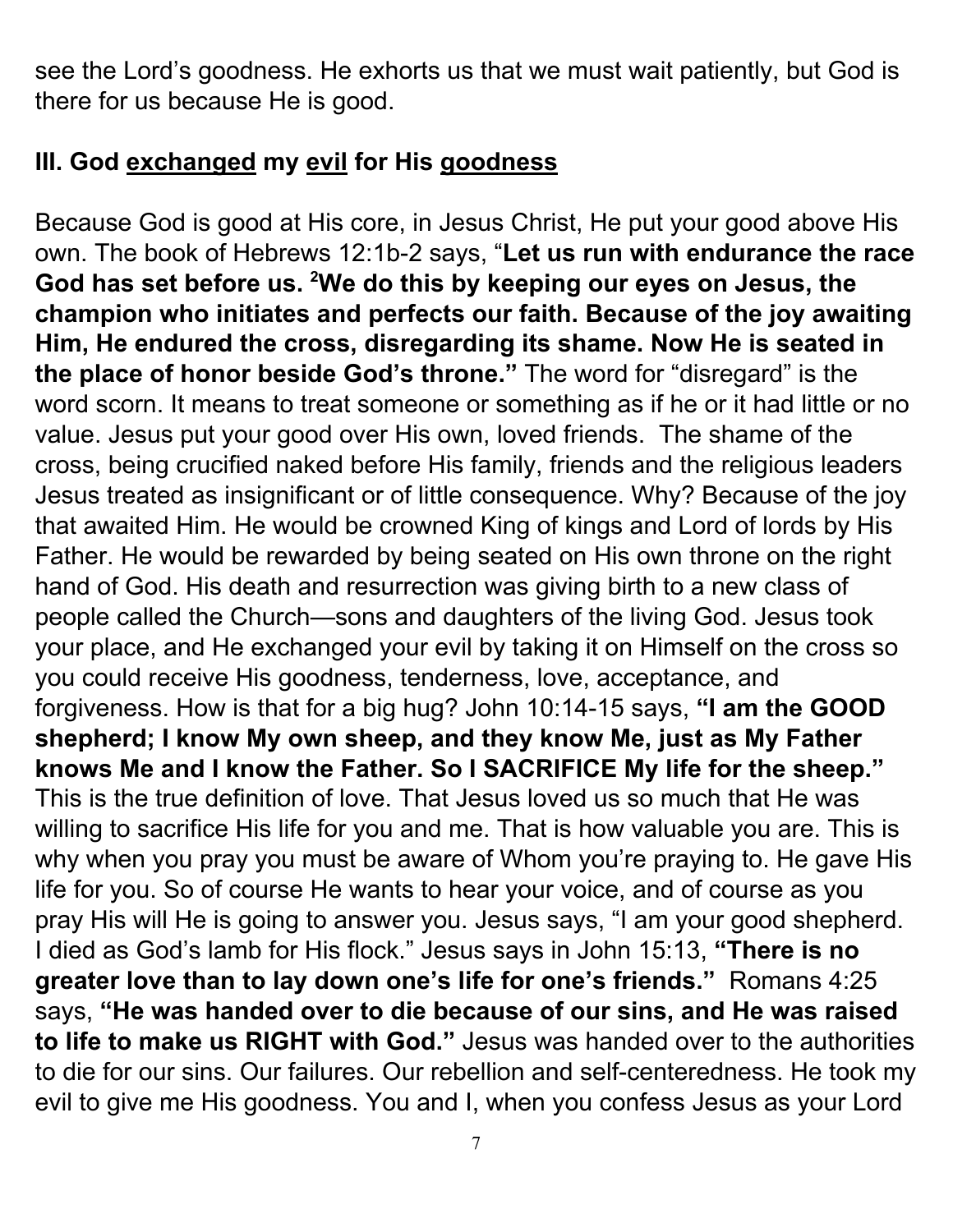see the Lord's goodness. He exhorts us that we must wait patiently, but God is there for us because He is good.

## **III. God exchanged my evil for His goodness**

Because God is good at His core, in Jesus Christ, He put your good above His own. The book of Hebrews 12:1b-2 says, "**Let us run with endurance the race God has set before us. <sup>2</sup>We do this by keeping our eyes on Jesus, the champion who initiates and perfects our faith. Because of the joy awaiting Him, He endured the cross, disregarding its shame. Now He is seated in the place of honor beside God's throne."** The word for "disregard" is the word scorn. It means to treat someone or something as if he or it had little or no value. Jesus put your good over His own, loved friends. The shame of the cross, being crucified naked before His family, friends and the religious leaders Jesus treated as insignificant or of little consequence. Why? Because of the joy that awaited Him. He would be crowned King of kings and Lord of lords by His Father. He would be rewarded by being seated on His own throne on the right hand of God. His death and resurrection was giving birth to a new class of people called the Church—sons and daughters of the living God. Jesus took your place, and He exchanged your evil by taking it on Himself on the cross so you could receive His goodness, tenderness, love, acceptance, and forgiveness. How is that for a big hug? John 10:14-15 says, **"I am the GOOD shepherd; I know My own sheep, and they know Me, just as My Father knows Me and I know the Father. So I SACRIFICE My life for the sheep."** This is the true definition of love. That Jesus loved us so much that He was willing to sacrifice His life for you and me. That is how valuable you are. This is why when you pray you must be aware of Whom you're praying to. He gave His life for you. So of course He wants to hear your voice, and of course as you pray His will He is going to answer you. Jesus says, "I am your good shepherd. I died as God's lamb for His flock." Jesus says in John 15:13, **"There is no greater love than to lay down one's life for one's friends."** Romans 4:25 says, **"He was handed over to die because of our sins, and He was raised to life to make us RIGHT with God."** Jesus was handed over to the authorities to die for our sins. Our failures. Our rebellion and self-centeredness. He took my evil to give me His goodness. You and I, when you confess Jesus as your Lord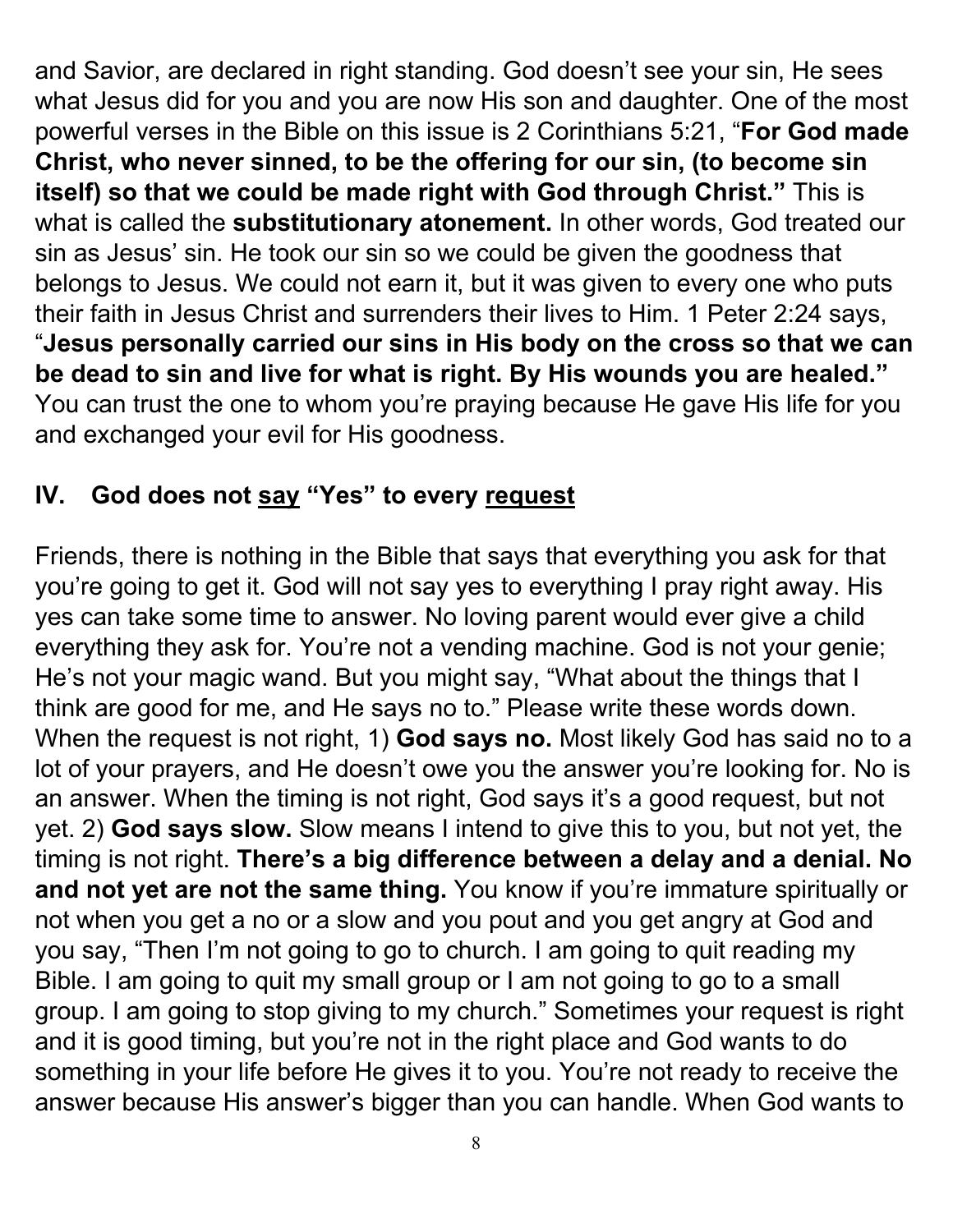and Savior, are declared in right standing. God doesn't see your sin, He sees what Jesus did for you and you are now His son and daughter. One of the most powerful verses in the Bible on this issue is 2 Corinthians 5:21, "**For God made Christ, who never sinned, to be the offering for our sin, (to become sin itself) so that we could be made right with God through Christ."** This is what is called the **substitutionary atonement.** In other words, God treated our sin as Jesus' sin. He took our sin so we could be given the goodness that belongs to Jesus. We could not earn it, but it was given to every one who puts their faith in Jesus Christ and surrenders their lives to Him. 1 Peter 2:24 says, "**Jesus personally carried our sins in His body on the cross so that we can be dead to sin and live for what is right. By His wounds you are healed."** You can trust the one to whom you're praying because He gave His life for you and exchanged your evil for His goodness.

## **IV. God does not say "Yes" to every request**

Friends, there is nothing in the Bible that says that everything you ask for that you're going to get it. God will not say yes to everything I pray right away. His yes can take some time to answer. No loving parent would ever give a child everything they ask for. You're not a vending machine. God is not your genie; He's not your magic wand. But you might say, "What about the things that I think are good for me, and He says no to." Please write these words down. When the request is not right, 1) **God says no.** Most likely God has said no to a lot of your prayers, and He doesn't owe you the answer you're looking for. No is an answer. When the timing is not right, God says it's a good request, but not yet. 2) **God says slow.** Slow means I intend to give this to you, but not yet, the timing is not right. **There's a big difference between a delay and a denial. No and not yet are not the same thing.** You know if you're immature spiritually or not when you get a no or a slow and you pout and you get angry at God and you say, "Then I'm not going to go to church. I am going to quit reading my Bible. I am going to quit my small group or I am not going to go to a small group. I am going to stop giving to my church." Sometimes your request is right and it is good timing, but you're not in the right place and God wants to do something in your life before He gives it to you. You're not ready to receive the answer because His answer's bigger than you can handle. When God wants to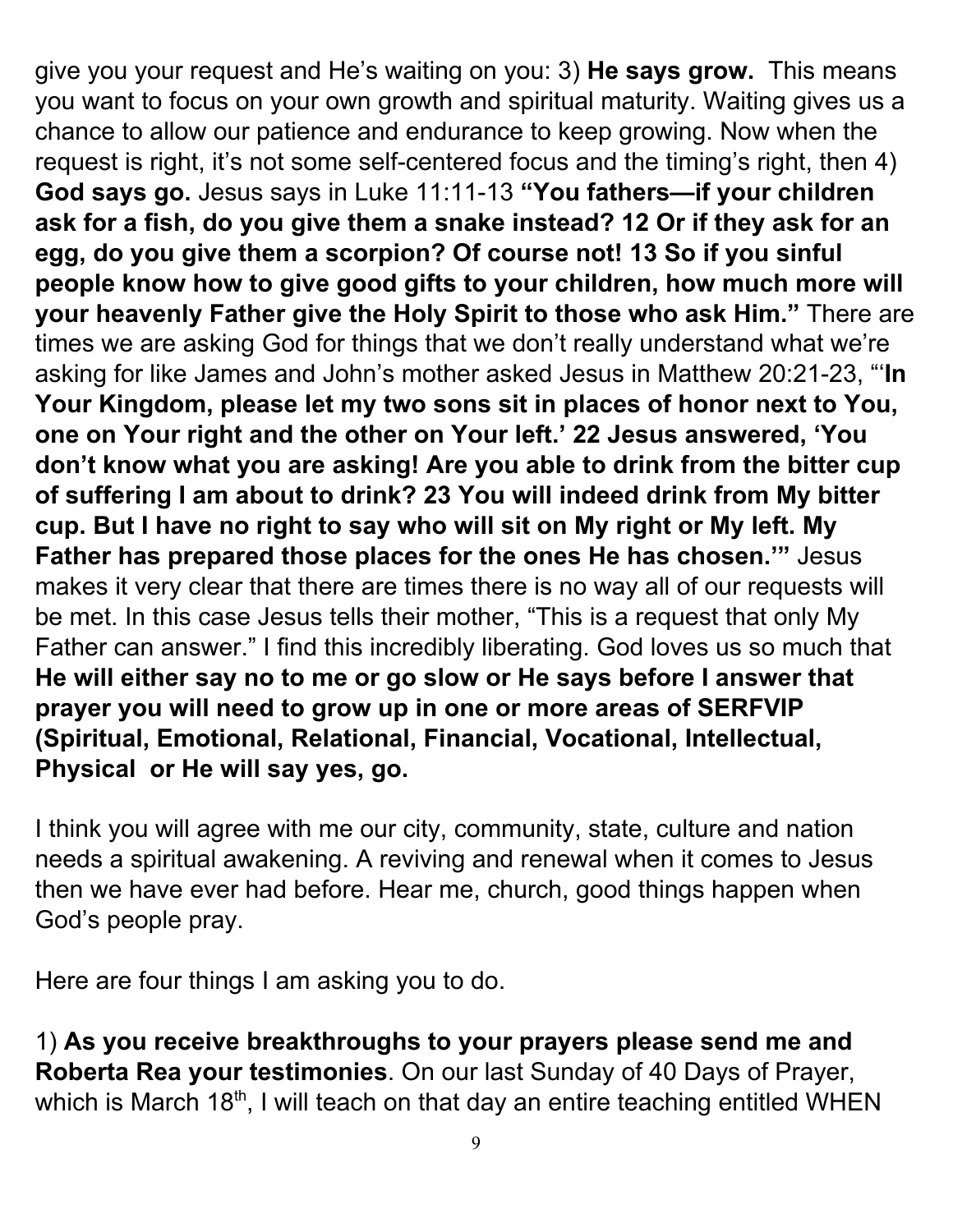give you your request and He's waiting on you: 3) **He says grow.** This means you want to focus on your own growth and spiritual maturity. Waiting gives us a chance to allow our patience and endurance to keep growing. Now when the request is right, it's not some self-centered focus and the timing's right, then 4) **God says go.** Jesus says in Luke 11:11-13 **"You fathers—if your children ask for a fish, do you give them a snake instead? 12 Or if they ask for an egg, do you give them a scorpion? Of course not! 13 So if you sinful people know how to give good gifts to your children, how much more will your heavenly Father give the Holy Spirit to those who ask Him."** There are times we are asking God for things that we don't really understand what we're asking for like James and John's mother asked Jesus in Matthew 20:21-23, "'**In Your Kingdom, please let my two sons sit in places of honor next to You, one on Your right and the other on Your left.' 22 Jesus answered, 'You don't know what you are asking! Are you able to drink from the bitter cup of suffering I am about to drink? 23 You will indeed drink from My bitter cup. But I have no right to say who will sit on My right or My left. My Father has prepared those places for the ones He has chosen.'"** Jesus makes it very clear that there are times there is no way all of our requests will be met. In this case Jesus tells their mother, "This is a request that only My Father can answer." I find this incredibly liberating. God loves us so much that **He will either say no to me or go slow or He says before I answer that prayer you will need to grow up in one or more areas of SERFVIP (Spiritual, Emotional, Relational, Financial, Vocational, Intellectual, Physical or He will say yes, go.**

I think you will agree with me our city, community, state, culture and nation needs a spiritual awakening. A reviving and renewal when it comes to Jesus then we have ever had before. Hear me, church, good things happen when God's people pray.

Here are four things I am asking you to do.

1) **As you receive breakthroughs to your prayers please send me and Roberta Rea your testimonies**. On our last Sunday of 40 Days of Prayer, which is March 18<sup>th</sup>, I will teach on that day an entire teaching entitled WHEN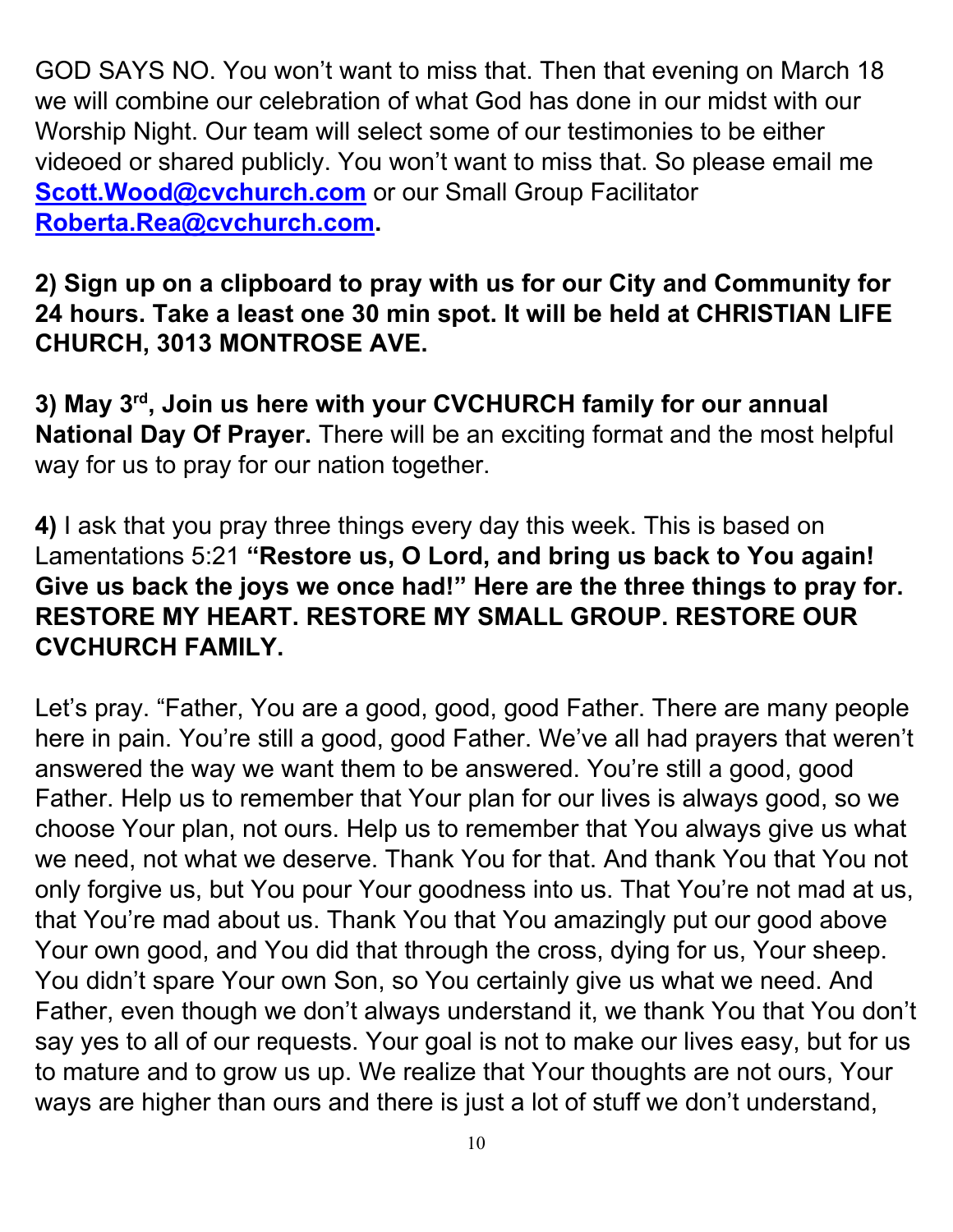GOD SAYS NO. You won't want to miss that. Then that evening on March 18 we will combine our celebration of what God has done in our midst with our Worship Night. Our team will select some of our testimonies to be either videoed or shared publicly. You won't want to miss that. So please email me **Scott. Wood@cvchurch.com** or our Small Group Facilitator **[Roberta.Rea@cvchurch.com](mailto:Roberta.Rea@cvchurch.com).**

**2) Sign up on a clipboard to pray with us for our City and Community for 24 hours. Take a least one 30 min spot. It will be held at CHRISTIAN LIFE CHURCH, 3013 MONTROSE AVE.**

**3) May 3 rd , Join us here with your CVCHURCH family for our annual National Day Of Prayer.** There will be an exciting format and the most helpful way for us to pray for our nation together.

**4)** I ask that you pray three things every day this week. This is based on Lamentations 5:21 **"Restore us, O Lord, and bring us back to You again! Give us back the joys we once had!" Here are the three things to pray for. RESTORE MY HEART. RESTORE MY SMALL GROUP. RESTORE OUR CVCHURCH FAMILY.**

Let's pray. "Father, You are a good, good, good Father. There are many people here in pain. You're still a good, good Father. We've all had prayers that weren't answered the way we want them to be answered. You're still a good, good Father. Help us to remember that Your plan for our lives is always good, so we choose Your plan, not ours. Help us to remember that You always give us what we need, not what we deserve. Thank You for that. And thank You that You not only forgive us, but You pour Your goodness into us. That You're not mad at us, that You're mad about us. Thank You that You amazingly put our good above Your own good, and You did that through the cross, dying for us, Your sheep. You didn't spare Your own Son, so You certainly give us what we need. And Father, even though we don't always understand it, we thank You that You don't say yes to all of our requests. Your goal is not to make our lives easy, but for us to mature and to grow us up. We realize that Your thoughts are not ours, Your ways are higher than ours and there is just a lot of stuff we don't understand,